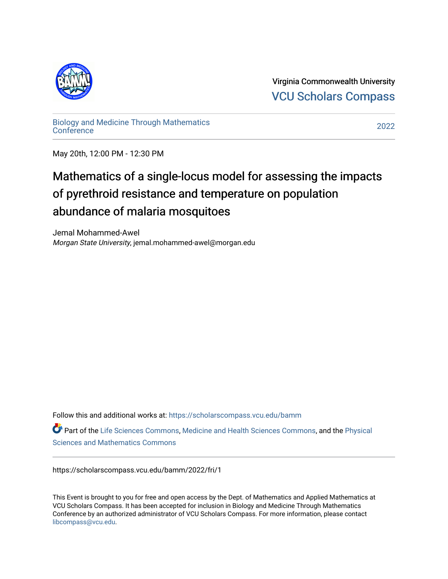

Virginia Commonwealth University [VCU Scholars Compass](https://scholarscompass.vcu.edu/) 

[Biology and Medicine Through Mathematics](https://scholarscompass.vcu.edu/bamm)  [Conference](https://scholarscompass.vcu.edu/bamm) [2022](https://scholarscompass.vcu.edu/bamm/2022) 

May 20th, 12:00 PM - 12:30 PM

## Mathematics of a single-locus model for assessing the impacts of pyrethroid resistance and temperature on population abundance of malaria mosquitoes

Jemal Mohammed-Awel Morgan State University, jemal.mohammed-awel@morgan.edu

Follow this and additional works at: [https://scholarscompass.vcu.edu/bamm](https://scholarscompass.vcu.edu/bamm?utm_source=scholarscompass.vcu.edu%2Fbamm%2F2022%2Ffri%2F1&utm_medium=PDF&utm_campaign=PDFCoverPages)

Part of the [Life Sciences Commons,](http://network.bepress.com/hgg/discipline/1016?utm_source=scholarscompass.vcu.edu%2Fbamm%2F2022%2Ffri%2F1&utm_medium=PDF&utm_campaign=PDFCoverPages) [Medicine and Health Sciences Commons,](http://network.bepress.com/hgg/discipline/648?utm_source=scholarscompass.vcu.edu%2Fbamm%2F2022%2Ffri%2F1&utm_medium=PDF&utm_campaign=PDFCoverPages) and the Physical [Sciences and Mathematics Commons](http://network.bepress.com/hgg/discipline/114?utm_source=scholarscompass.vcu.edu%2Fbamm%2F2022%2Ffri%2F1&utm_medium=PDF&utm_campaign=PDFCoverPages) 

https://scholarscompass.vcu.edu/bamm/2022/fri/1

This Event is brought to you for free and open access by the Dept. of Mathematics and Applied Mathematics at VCU Scholars Compass. It has been accepted for inclusion in Biology and Medicine Through Mathematics Conference by an authorized administrator of VCU Scholars Compass. For more information, please contact [libcompass@vcu.edu.](mailto:libcompass@vcu.edu)